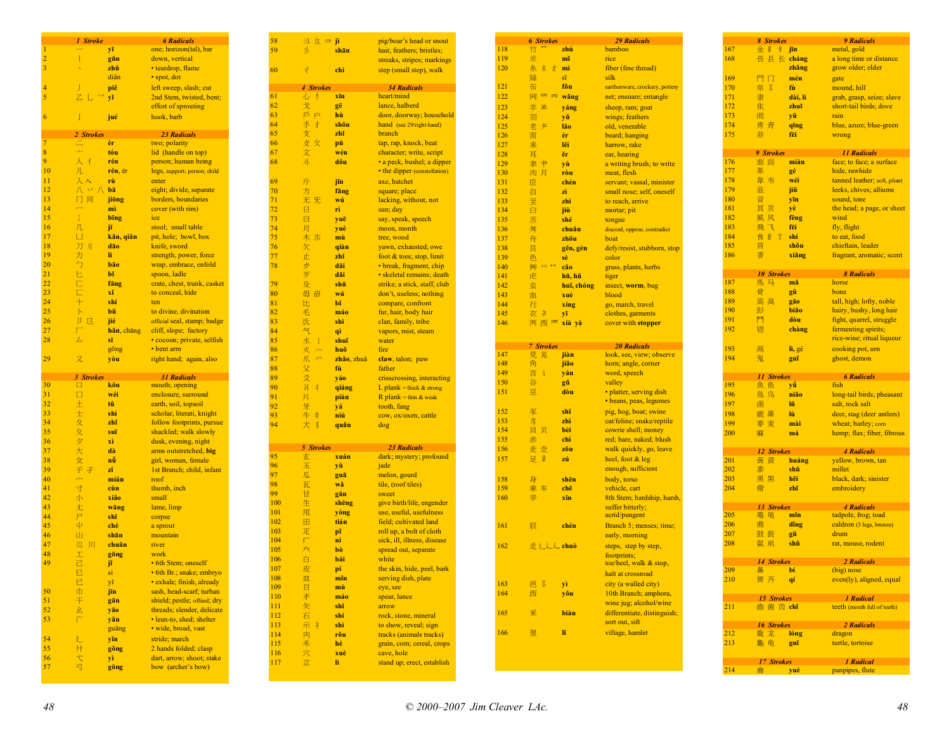|                 | 1 Stroke      |            | <b>6 Radicals</b>                               |
|-----------------|---------------|------------|-------------------------------------------------|
| 1               |               | yī         | one; horizon(tal), bar                          |
|                 |               |            |                                                 |
| $\overline{c}$  | I             | gŭn        | down, vertical                                  |
| 3               |               | zhŭ        | • teardrop, flame                               |
|                 |               | diǎn       | · spot, dot                                     |
| 4               |               | piě        | left sweep, slash; cut                          |
| 5               |               | yĭ         | 2nd Stem, twisted, bent;                        |
|                 |               |            |                                                 |
|                 |               |            | effort of sprouting                             |
| 6               | J             | jué        | hook, barb                                      |
|                 |               |            |                                                 |
|                 | 2 Strokes     |            | <b>23 Radicals</b>                              |
| 7               |               | èr         | two; polarity                                   |
| 8               | ع             | tóu        | lid (handle on top)                             |
| 9               | Х<br>4        | rén        | person; human being                             |
| 10              |               | rén, ér    |                                                 |
|                 | 儿             |            | legs, support; person; child                    |
| $\overline{11}$ | 入             | rù         | enter                                           |
| 12              | 八<br>$\chi$ / | bā         | eight; divide, separate                         |
| 13              | Π<br>囘        | jiōng      | borders, boundaries                             |
| 14              | ó             | mì         | cover (with rim)                                |
| 15              | ž             | bing       | ice                                             |
|                 |               |            |                                                 |
| 16              | 几             | jī         | stool; small table                              |
| 17              | U             | kăn, qiăn  | pit, hole; bowl, box                            |
| 18              | 刀<br>П        | dão        | knife, sword                                    |
| 19              | 力             | ĥ          | strength, power, force                          |
| 20              | 勹             | bão        | wrap, embrace, enfold                           |
| 21              | Е             | bĭ         | spoon, ladle                                    |
|                 |               |            |                                                 |
| 22              | È             | fäng       | crate, chest, trunk, casket                     |
| 23              | É             | xĭ         | to conceal, hide                                |
| 24              | $+$           | shí        | ten                                             |
| 25              | ħ             | bŭ         | to divine, divination                           |
| 26              | Π<br>ए        | jié        | official seal, stamp; badge                     |
| 27              | Г             | hăn, chăng | cliff, slope; factory                           |
|                 |               |            |                                                 |
| 28              | 4             | sī         | · cocoon; private, selfish                      |
|                 |               | gong       | • bent arm                                      |
| 29              |               |            |                                                 |
|                 | 又             | yòu        | right hand; again, also                         |
|                 |               |            |                                                 |
|                 | 3 Strokes     |            | <b>31 Radicals</b>                              |
| 30              | □             | kŏu        | mouth; opening                                  |
| 31              | □             | wéi        | enclosure, surround                             |
| 32              |               | tŭ         |                                                 |
|                 | 土             |            | earth, soil, topsoil                            |
| 33              | 士             | shì        | scholar, literati, knight                       |
| 34              | 夂             | zhĭ        | follow footprints, pursue                       |
| 35              | 夊             | suī        | shackled; walk slowly                           |
| 36              | ダ             | xì         | dusk, evening, night                            |
| 37              | 大             | dà         | arms outstretched, big                          |
| 38              |               | nů         |                                                 |
|                 | 女             |            | girl, woman, female                             |
| 39              | 子<br>孑        | zĭ         | 1st Branch; child, infant                       |
| 40              | بمر           | mián       | roof                                            |
| 41              | 寸             | cùn        | thumb, inch                                     |
| 42              | 小             | xiǎo       | small                                           |
| 43              | 尢             | wāng       | lame, limp                                      |
| 44              | $\mathsf{P}$  | shī        | corpse                                          |
| 45              | 4             | chè        |                                                 |
|                 |               |            | a sprout                                        |
| 46              | Ш             | shān       | mountain                                        |
| 47              | 巛<br>Л        | chuān      | river                                           |
| 48              | I             | göng       | work                                            |
| 49              | 己             | jĭ         | • 6th Stem; oneself                             |
|                 | е             | sì         | 6th Br.; snake; embryo                          |
|                 | 已             | yĭ         | · exhale; finish, already                       |
| 50              |               |            |                                                 |
|                 | 巾             | jīn        | sash, head-scarf; turban                        |
| 51              | Ŧ             | gān        | shield; pestle; offend; dry                     |
| 52              | 幺             | yão        | threads; slender, delicate                      |
| 53              |               | yăn        | · lean-to, shed; shelter                        |
|                 |               | guǎng      | · wide, broad, vast                             |
| 54              | 廴             | yĭn        | stride; march                                   |
| 55              | Ĥ             | gŏng       | 2 hands folded; clasp                           |
|                 |               |            |                                                 |
| 56<br>57        |               | yì<br>göng | dart, arrow; shoot; stake<br>bow (archer's bow) |

| $\exists \underline{L} \Rightarrow \underline{n}$ |            | pig/boar's head or snout     |
|---------------------------------------------------|------------|------------------------------|
|                                                   |            |                              |
|                                                   | shān       | hair, feathers; bristles;    |
|                                                   |            | streaks, stripes; markings   |
| 4                                                 | chì        | step (small step), walk      |
|                                                   |            |                              |
|                                                   |            |                              |
| 4 Strokes                                         |            | <b>34 Radicals</b>           |
| 心<br>Ť                                            | xīn        | heart/mind                   |
| 戈                                                 |            | lance, halberd               |
|                                                   | gē         |                              |
| 戶<br>P                                            | hù         | door, doorway; household     |
| 手<br>才                                            | shŏu       | hand (see 29/right hand)     |
|                                                   |            |                              |
| 支                                                 | zhī        | branch                       |
| 攴<br>攵                                            | pū         | tap, rap, knock, beat        |
| 文                                                 | wén        | character; write, script     |
|                                                   |            |                              |
| 斗                                                 | dŏu        | · a peck, bushel; a dipper   |
|                                                   |            | • the dipper (constellation) |
| 斤                                                 |            |                              |
|                                                   | jīn        | axe, hatchet                 |
| 方                                                 | fāng       | square; place                |
| 无<br>旡                                            | wú         | lacking, without, not        |
|                                                   |            |                              |
| 日                                                 | rì         | sun; day                     |
| 日                                                 | yuē        | say, speak, speech           |
| 月                                                 | yuè        | moon, month                  |
|                                                   |            |                              |
| 木<br>朩                                            | mù         | tree, wood                   |
| 欠                                                 | qiàn       | yawn, exhausted; owe         |
| 止                                                 | zhĭ        | foot & toes; stop, limit     |
|                                                   |            |                              |
| 歺                                                 | dāi        | • break, fragment, chip      |
| 歹                                                 | dăi        | • skeletal remains; death    |
| 殳                                                 | shū        | strike; a stick, staff, club |
|                                                   |            |                              |
| 毋<br>毌                                            | wú         | don't, useless; nothing      |
| 比                                                 | bĭ         | compare, confront            |
| 毛                                                 | máo        | fur, hair, body hair         |
|                                                   |            |                              |
| 氏                                                 | shì        | clan, family, tribe          |
| 气                                                 | qì         | vapors, mist, steam          |
| Ŷ<br>水                                            | shuĭ       | water                        |
| 火<br>$\lambda\lambda\lambda$                      | huŏ        | fire                         |
|                                                   |            |                              |
|                                                   |            |                              |
| 爪<br>示                                            | zhǎo, zhuǎ | claw, talon; paw             |
|                                                   | fù         | father                       |
| 交                                                 |            |                              |
| 爻                                                 | yáo        | crisscrossing, interacting   |
| 爿<br>F                                            | qiáng      | L plank = thick $&$ strong   |
| 片                                                 | piàn       | R plank = thin & weak        |
|                                                   |            |                              |
| 牙                                                 | yá         | tooth, fang                  |
| 牛<br>牛                                            | niú        | cow, ox/oxen, cattle         |
| 犬<br>犭                                            | quăn       | dog                          |
|                                                   |            |                              |
|                                                   |            |                              |
| 5 Strokes                                         |            | <b>23 Radicals</b>           |
|                                                   |            |                              |
| 玄                                                 | xuán       | dark; mystery; profound      |
| 玉                                                 | yù         | jade                         |
| 瓜                                                 | guā        | melon, gourd                 |
|                                                   |            |                              |
| 瓦                                                 | wă         | tile, (roof tiles)           |
| 甘                                                 | gān        | sweet                        |
| 生                                                 | shēng      | give birth/life, engender    |
|                                                   |            |                              |
| 用                                                 | yòng       | use, useful, usefulness      |
| 田                                                 | tián       | field; cultivated land       |
| 疋                                                 | pĭ         | roll up, a bolt of cloth     |
| 疒                                                 | nì         | sick, ill, illness, disease  |
|                                                   |            |                              |
| 癶                                                 | bò         | spread out, separate         |
| 白                                                 | bái        | white                        |
| 皮                                                 | pí         | the skin, hide, peel, bark   |
| Щ                                                 | mĭn        | serving dish, plate          |
|                                                   |            |                              |
| 目                                                 | mù         | eye, see                     |
| 矛                                                 | máo        | spear, lance                 |
| 矢                                                 | shĭ        | arrow                        |
|                                                   | shí        |                              |
| 石                                                 |            | rock, stone, mineral         |
| 示<br>礻                                            | shì        | to show, reveal; sign        |
| 禸                                                 | rŏu        | tracks (animals tracks)      |
| 禾                                                 | hé         | grain, corn; cereal, crops   |
|                                                   |            |                              |
| 穴                                                 | xuè        | cave, hole                   |
| 立                                                 | lì         | stand up; erect, establish   |

58

59

60

61

78

 $\frac{1}{94}$ 

100 101 102

103 104

109

110

111

112

113

114 115

116

117

| 118        | <b>6 Strokes</b>         |                        | <b>29 Radicals</b>                     |
|------------|--------------------------|------------------------|----------------------------------------|
|            | 竹                        | zhú                    | bamboo                                 |
| 119        | 米                        | mĭ                     | rice                                   |
| 120        | 糸<br>系<br>纟              | mì                     | fiber (fine thread)                    |
|            | 絲                        | $\overline{\text{s1}}$ | silk                                   |
| 121        | 缶                        | fŏu                    | earthenware, crockery, pottery         |
| 122        | Щ<br>网<br>$\overline{p}$ | wǎng                   | net; ensnare; entangle                 |
| 123        | 羊<br>羊                   | yáng                   | sheep, ram; goat                       |
| 124        | 羽                        | yŭ                     | wings; feathers                        |
| 125        | 老<br>尹                   | lăo                    | old, venerable                         |
| 126        | 而                        | ér                     | beard; hanging                         |
| 127        | 耒                        | lěi                    | harrow, rake                           |
| 128        | 耳                        | ěr                     | ear, hearing                           |
| 129        | 肀<br>聿                   | yù                     | a writing brush; to write              |
| 130        | 肉<br>月                   | ròu                    | meat, flesh                            |
| 131        | 臣                        | chén                   | servant; vassal, minister              |
| 132        | 自                        | zì                     | small nose; self, oneself              |
| 133        | 至                        | zhì                    | to reach, arrive                       |
| 134        | 臼                        | jiù                    | mortar; pit                            |
| 135        | 舌                        | shé                    | tongue                                 |
| 136        | 舛                        | chuǎn                  | discord, oppose, contradict            |
| 137        | 舟                        | zhōu                   | boat                                   |
| 138        | 艮                        | gěn, gèn               | defy/resist, stubborn, stop            |
| 139        | 色<br>$22 + +$            | sè                     | color                                  |
| 140        | 艸                        | căo                    | grass, plants, herbs                   |
| 141        | 虍                        | hū, hǔ                 | tiger                                  |
| 142<br>143 | 虫<br>血                   | huǐ, chóng<br>xuè      | insect, worm, bug<br>blood             |
| 144        | 行                        | xíng                   |                                        |
| 145        | 衣<br>ネ                   | ٧Ī                     | go, march, travel<br>clothes, garments |
| 146        | 襾<br>西<br>西              | xià yà                 | cover with stopper                     |
|            |                          |                        |                                        |
|            | <b>7 Strokes</b>         |                        | <b>20 Radicals</b>                     |
| 147        | 見.<br>见                  | jiàn                   | look, see, view; observe               |
| 148        | 角                        | jiǎo                   | horn; angle, corner                    |
| 149        | 言<br>ì                   | ván                    | word, speech                           |
| 150        | 谷                        | gŭ                     | valley                                 |
| 151        | 豆                        | dòu                    | • platter, serving dish                |
|            |                          |                        | · beans, peas, legumes                 |
| 152        | 豕                        | shĭ                    | pig, hog, boar; swine                  |
| 153        | 豸                        | zhì                    | cat/feline; snake/reptile              |
| 154        | 貝<br>贝                   | bèi                    | cowrie shell; money                    |
| 155        | 赤                        | chì                    | red; bare, naked; blush                |
| 156        | 走<br>赱                   | zŏu                    | walk quickly, go, leave                |
| 157        | E<br>足                   | zú                     | heel, foot & leg                       |
|            |                          |                        | enough, sufficient                     |
| 158        | 身                        | shēn                   | body, torso                            |
| 159        | 車<br>车                   | chē                    | vehicle, cart                          |
| 160        | 辛                        | xīn                    | 8th Stem; hardship, harsh,             |
|            |                          |                        | suffer bitterly;                       |
|            |                          |                        |                                        |
|            |                          |                        | acrid/pungent                          |
|            | 辰                        | chén                   | Branch 5; menses; time;                |
|            |                          |                        | early, morning                         |
| 161<br>162 | 定之之 chuò                 |                        | steps, step by step,                   |
|            |                          |                        | footprints;                            |
|            |                          |                        | toe/heel, walk & stop,                 |
|            |                          |                        | halt at crossroad                      |
| 163        | ß<br>邑                   | yì                     | city (a walled city)                   |
| 164        | 酉                        | yŏu                    | 10th Branch; amphora,                  |
|            |                          |                        | wine jug; alcohol/wine                 |
| 165        | 釆                        | biàn                   | differentiate, distinguish;            |
| 166        | 里                        | ľĭ                     | sort out, sift<br>village, hamlet      |

|     | <b>8 Strokes</b>  |           | <b>9 Radicals</b>                                |
|-----|-------------------|-----------|--------------------------------------------------|
| 167 | 牟<br>金金           | jīn       | metal, gold                                      |
| 168 | 長 長 长 cháng       | zhǎng     | a long time or distance<br>grow older; elder     |
| 169 | 門门                |           |                                                  |
| 170 | $\sqrt{2}$        | mén<br>fù | gate                                             |
| 171 | 阜<br>隶            |           | mound, hill                                      |
| 172 |                   | dài, lì   | grab, grasp, seize; slave                        |
|     | 隹                 | zhuī      | short-tail birds; dove                           |
| 173 | 雨                 | yŭ        | rain                                             |
| 174 | 青青                | qīng      | blue, azure; blue-green                          |
| 175 | 非                 | fēi       | wrong                                            |
|     | 9 Strokes         |           | <b>11 Radicals</b>                               |
| 176 | 面面                | miàn      | face; to face; a surface                         |
| 177 | 革                 | gé        | hide, rawhide                                    |
| 178 | 韋韦                | wéi       | tanned leather; soft, pliant                     |
| 179 | 韭                 | jiŭ       | leeks, chives; alliums                           |
| 180 | 音                 | yīn       | sound, tone                                      |
| 181 | 頁页                | уè        | the head; a page, or sheet                       |
| 182 | 風风                | fēng      | wind                                             |
| 183 | 飞<br>飛            | fēi       | fly, flight                                      |
| 184 | 食食<br>饣           | shí       | to eat, food                                     |
| 185 | 首                 | shŏu      | chieftain, leader                                |
| 186 | 香                 | xiāng     | fragrant, aromatic; scent                        |
|     | <b>10 Strokes</b> |           | <b>8 Radicals</b>                                |
| 187 | 馬马                | mă        | horse                                            |
| 188 | 骨                 | gŭ        | bone                                             |
| 189 | 高高                | gão       | tall, high; lofty, noble                         |
| 190 | 髟                 | bião      | hairy, bushy, long hair                          |
| 191 | 鬥                 | dòu       | fight, quarrel, struggle                         |
| 192 | 鬯                 | chàng     | fermenting spirits;<br>rice-wine; ritual liqueur |
| 193 | 鬲                 | lì, gé    | cooking pot, urn                                 |
| 194 | 鬼                 | guǐ       | ghost, demon                                     |
|     | <b>11 Strokes</b> |           | <b>6 Radicals</b>                                |
| 195 | 魚鱼                | yű        | fish                                             |
| 196 | 鳥鸟                | niăo      | long-tail birds; pheasant                        |
| 197 | 鹵                 | lŭ        | salt, rock salt                                  |
| 198 | 鹿廉                | Iù        | deer, stag (deer antlers)                        |
| 199 | 麥麦                | mài       | wheat; barley; corn                              |
| 200 | 麻                 | má        | hemp; flax; fiber, fibrous                       |
|     | <b>12 Strokes</b> |           | <b>4 Radicals</b>                                |
| 201 | 黃<br>黄            | huáng     | yellow, brown, tan                               |
| 202 | 黍                 | shŭ       | millet                                           |
| 203 | 黑黒                | hēi       | black, dark; sinister                            |
| 204 | 黹                 | zhĭ       | embroidery                                       |
|     | <b>13 Strokes</b> |           | <b>4 Radicals</b>                                |
| 205 | 黽黾                | min       | tadpole, frog; toad                              |
| 206 | 鼎                 | ding      | caldron (3 legs, bronze)                         |
| 207 | 鼓鼓                | gŭ        | drum                                             |
| 208 | 鼠鼡                | shŭ       | rat, mouse, rodent                               |
|     | <b>14 Strokes</b> |           | 2 Radicals                                       |
| 209 | 鼻                 | bí        | $(big)$ nose                                     |
| 210 | 齊齐                | qi        | even(ly), aligned, equal                         |
|     | <b>15 Strokes</b> |           | <b>1 Radical</b>                                 |
| 211 | 齒歯齿 chǐ           |           | teeth (mouth full of teeth)                      |
|     |                   |           | <b>2 Radicals</b>                                |
|     | <b>16 Strokes</b> |           |                                                  |
| 212 | 龍 龙               | lóng      | dragon                                           |
| 213 | 龜龟                | guī       | turtle, tortoise                                 |
|     | 17 Strokes        |           | <b>1 Radical</b>                                 |
| 214 | 龠                 | yuè       | panpipes, flute                                  |